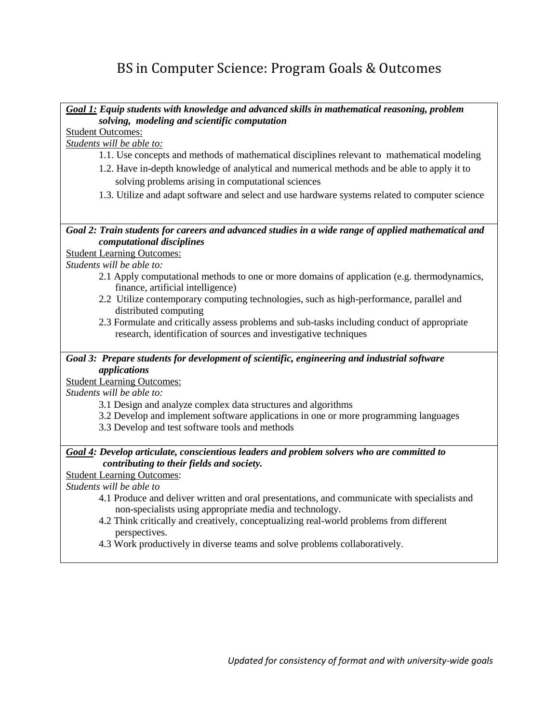# BS in Computer Science: Program Goals & Outcomes

*Goal 1: Equip students with knowledge and advanced skills in mathematical reasoning, problem solving, modeling and scientific computation*

Student Outcomes:

*Students will be able to:*

- 1.1. Use concepts and methods of mathematical disciplines relevant to mathematical modeling
- 1.2. Have in-depth knowledge of analytical and numerical methods and be able to apply it to solving problems arising in computational sciences
- 1.3. Utilize and adapt software and select and use hardware systems related to computer science

#### *Goal 2: Train students for careers and advanced studies in a wide range of applied mathematical and computational disciplines*

#### Student Learning Outcomes:

*Students will be able to:*

- 2.1 Apply computational methods to one or more domains of application (e.g. thermodynamics, finance, artificial intelligence)
- 2.2 Utilize contemporary computing technologies, such as high-performance, parallel and distributed computing
- 2.3 Formulate and critically assess problems and sub-tasks including conduct of appropriate research, identification of sources and investigative techniques

#### *Goal 3: Prepare students for development of scientific, engineering and industrial software applications*

#### Student Learning Outcomes:

*Students will be able to:*

- 3.1 Design and analyze complex data structures and algorithms
- 3.2 Develop and implement software applications in one or more programming languages
- 3.3 Develop and test software tools and methods

### *Goal 4: Develop articulate, conscientious leaders and problem solvers who are committed to contributing to their fields and society.*

Student Learning Outcomes:

*Students will be able to*

- 4.1 Produce and deliver written and oral presentations, and communicate with specialists and non-specialists using appropriate media and technology.
- 4.2 Think critically and creatively, conceptualizing real-world problems from different perspectives.
- 4.3 Work productively in diverse teams and solve problems collaboratively.